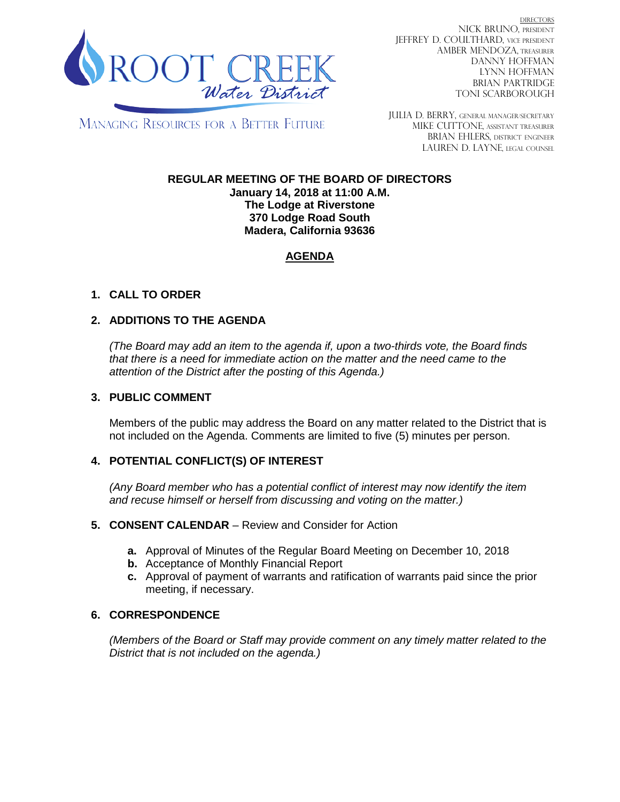

DIRECTORS NICK BRUNO, PRESIDENT JEFFREY D. COULTHARD, VICE PRESIDENT AMBER MENDOZA, TREASURER DANNY HOFFMAN LYNN HOFFMAN BRIAN PARTRIDGE TONI SCARBOROUGH

MANAGING RESOURCES FOR A BETTER FUTURE

JULIA D. BERRY, GENERAL MANAGER/secretary MIKE CUTTONE, Assistant treasurer BRIAN EHLERS, DISTRICT ENGINEER LAUREN D. LAYNE, LEGAL COUNSEL

#### **REGULAR MEETING OF THE BOARD OF DIRECTORS January 14, 2018 at 11:00 A.M. The Lodge at Riverstone 370 Lodge Road South Madera, California 93636**

# **AGENDA**

## **1. CALL TO ORDER**

## **2. ADDITIONS TO THE AGENDA**

*(The Board may add an item to the agenda if, upon a two-thirds vote, the Board finds that there is a need for immediate action on the matter and the need came to the attention of the District after the posting of this Agenda.)*

#### **3. PUBLIC COMMENT**

Members of the public may address the Board on any matter related to the District that is not included on the Agenda. Comments are limited to five (5) minutes per person.

### **4. POTENTIAL CONFLICT(S) OF INTEREST**

*(Any Board member who has a potential conflict of interest may now identify the item and recuse himself or herself from discussing and voting on the matter.)*

#### **5. CONSENT CALENDAR** – Review and Consider for Action

- **a.** Approval of Minutes of the Regular Board Meeting on December 10, 2018
- **b.** Acceptance of Monthly Financial Report
- **c.** Approval of payment of warrants and ratification of warrants paid since the prior meeting, if necessary.

### **6. CORRESPONDENCE**

*(Members of the Board or Staff may provide comment on any timely matter related to the District that is not included on the agenda.)*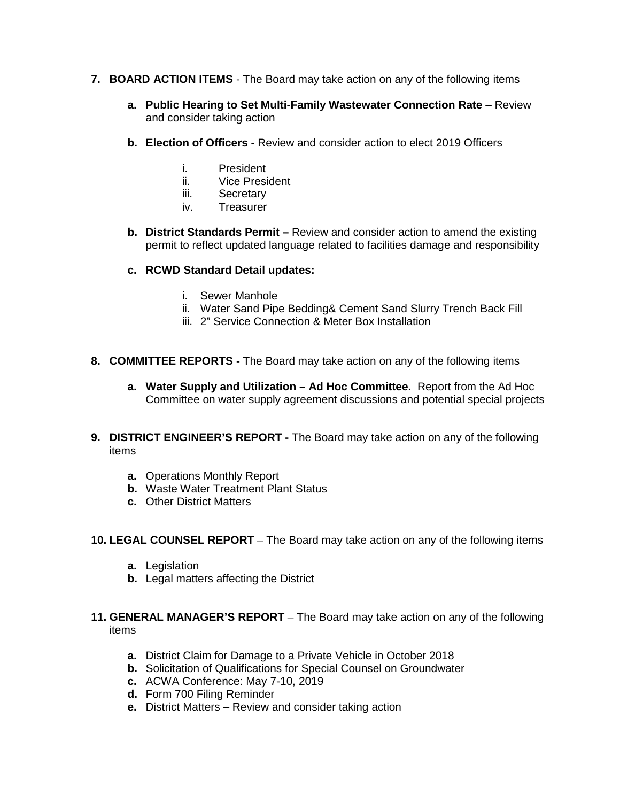- **7. BOARD ACTION ITEMS**  The Board may take action on any of the following items
	- **a. Public Hearing to Set Multi-Family Wastewater Connection Rate** Review and consider taking action
	- **b. Election of Officers -** Review and consider action to elect 2019 Officers
		- i. President
		- ii. Vice President
		- iii. Secretary
		- iv. Treasurer
	- **b. District Standards Permit –** Review and consider action to amend the existing permit to reflect updated language related to facilities damage and responsibility
	- **c. RCWD Standard Detail updates:**
		- i. Sewer Manhole
		- ii. Water Sand Pipe Bedding& Cement Sand Slurry Trench Back Fill
		- iii. 2" Service Connection & Meter Box Installation
- **8. COMMITTEE REPORTS -** The Board may take action on any of the following items
	- **a. Water Supply and Utilization – Ad Hoc Committee.** Report from the Ad Hoc Committee on water supply agreement discussions and potential special projects
- **9. DISTRICT ENGINEER'S REPORT -** The Board may take action on any of the following items
	- **a.** Operations Monthly Report
	- **b.** Waste Water Treatment Plant Status
	- **c.** Other District Matters
- **10. LEGAL COUNSEL REPORT** The Board may take action on any of the following items
	- **a.** Legislation
	- **b.** Legal matters affecting the District
- **11. GENERAL MANAGER'S REPORT** The Board may take action on any of the following items
	- **a.** District Claim for Damage to a Private Vehicle in October 2018
	- **b.** Solicitation of Qualifications for Special Counsel on Groundwater
	- **c.** ACWA Conference: May 7-10, 2019
	- **d.** Form 700 Filing Reminder
	- **e.** District Matters Review and consider taking action